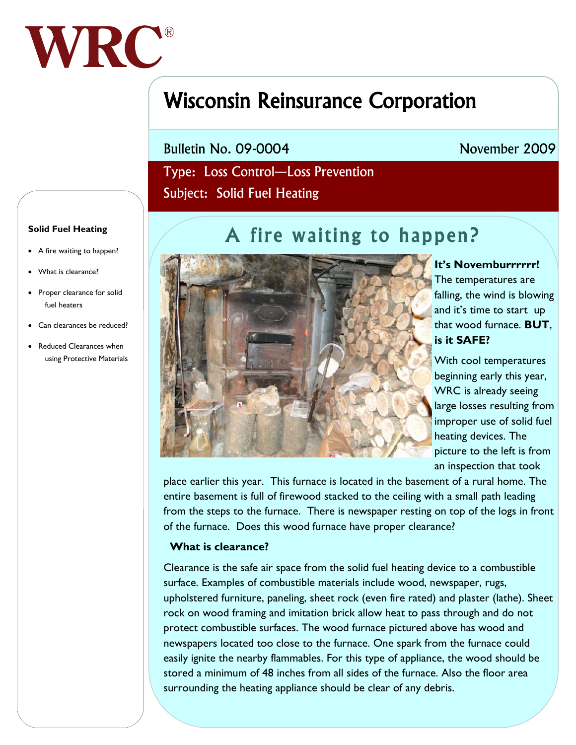

# Wisconsin Reinsurance Corporation

Bulletin No. 09-0004

## November 2009

 Type: Loss Control—Loss Prevention Subject: Solid Fuel Heating

# A fire waiting to happen?



# **It's Novemburrrrrr!**  The temperatures are falling, the wind is blowing

and it's time to start up that wood furnace. **BUT**, **is it SAFE?** 

With cool temperatures beginning early this year, WRC is already seeing large losses resulting from improper use of solid fuel heating devices. The picture to the left is from an inspection that took

place earlier this year. This furnace is located in the basement of a rural home. The entire basement is full of firewood stacked to the ceiling with a small path leading from the steps to the furnace. There is newspaper resting on top of the logs in front of the furnace. Does this wood furnace have proper clearance?

#### **What is clearance?**

Clearance is the safe air space from the solid fuel heating device to a combustible surface. Examples of combustible materials include wood, newspaper, rugs, upholstered furniture, paneling, sheet rock (even fire rated) and plaster (lathe). Sheet rock on wood framing and imitation brick allow heat to pass through and do not protect combustible surfaces. The wood furnace pictured above has wood and newspapers located too close to the furnace. One spark from the furnace could easily ignite the nearby flammables. For this type of appliance, the wood should be stored a minimum of 48 inches from all sides of the furnace. Also the floor area surrounding the heating appliance should be clear of any debris.

#### **Solid Fuel Heating**

- A fire waiting to happen?
- What is clearance?
- Proper clearance for solid fuel heaters
- Can clearances be reduced?
- Reduced Clearances when using Protective Materials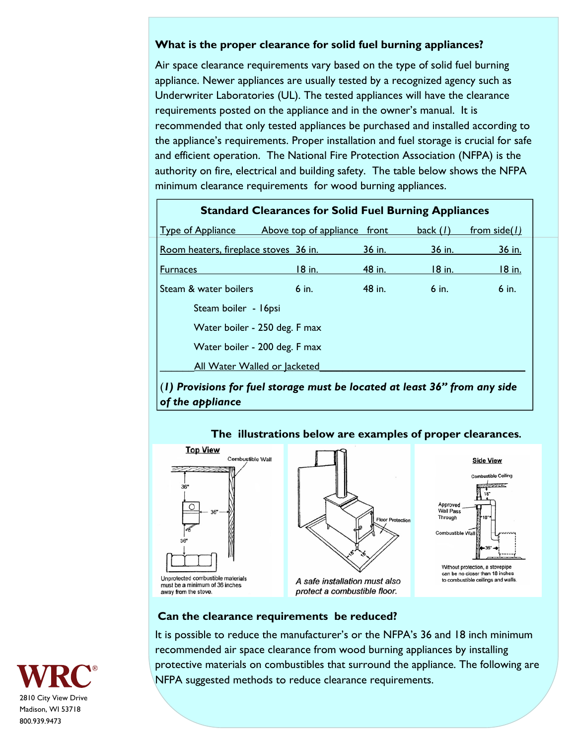#### **What is the proper clearance for solid fuel burning appliances?**

Air space clearance requirements vary based on the type of solid fuel burning appliance. Newer appliances are usually tested by a recognized agency such as Underwriter Laboratories (UL). The tested appliances will have the clearance requirements posted on the appliance and in the owner's manual. It is recommended that only tested appliances be purchased and installed according to the appliance's requirements. Proper installation and fuel storage is crucial for safe and efficient operation. The National Fire Protection Association (NFPA) is the authority on fire, electrical and building safety. The table below shows the NFPA minimum clearance requirements for wood burning appliances.

| <b>Standard Clearances for Solid Fuel Burning Appliances</b>                 |               |               |               |                |  |  |
|------------------------------------------------------------------------------|---------------|---------------|---------------|----------------|--|--|
| Type of Appliance Above top of appliance front                               |               |               | back $(I)$    | from $side(1)$ |  |  |
| Room heaters, fireplace stoves 36 in.                                        |               | <u>36 in.</u> | <u>36 in.</u> | 36 in.         |  |  |
| <b>Furnaces</b>                                                              | <u>18 in.</u> | <u>48 in.</u> | <u>18 in.</u> | <u>18 in.</u>  |  |  |
| Steam & water boilers                                                        | $6$ in.       | 48 in.        | $6$ in.       | $6$ in.        |  |  |
| Steam boiler - 16psi                                                         |               |               |               |                |  |  |
| Water boiler - 250 deg. F max                                                |               |               |               |                |  |  |
| Water boiler - 200 deg. F max                                                |               |               |               |                |  |  |
| All Water Walled or lacketed                                                 |               |               |               |                |  |  |
| $(1)$ Provisions for fuel storage must be located at least 36" from any side |               |               |               |                |  |  |

*of the appliance* 



away from the stove.

## **The illustrations below are examples of proper clearances.**

A safe installation must also protect a combustible floor.



#### **Can the clearance requirements be reduced?**

It is possible to reduce the manufacturer's or the NFPA's 36 and 18 inch minimum recommended air space clearance from wood burning appliances by installing protective materials on combustibles that surround the appliance. The following are NFPA suggested methods to reduce clearance requirements.